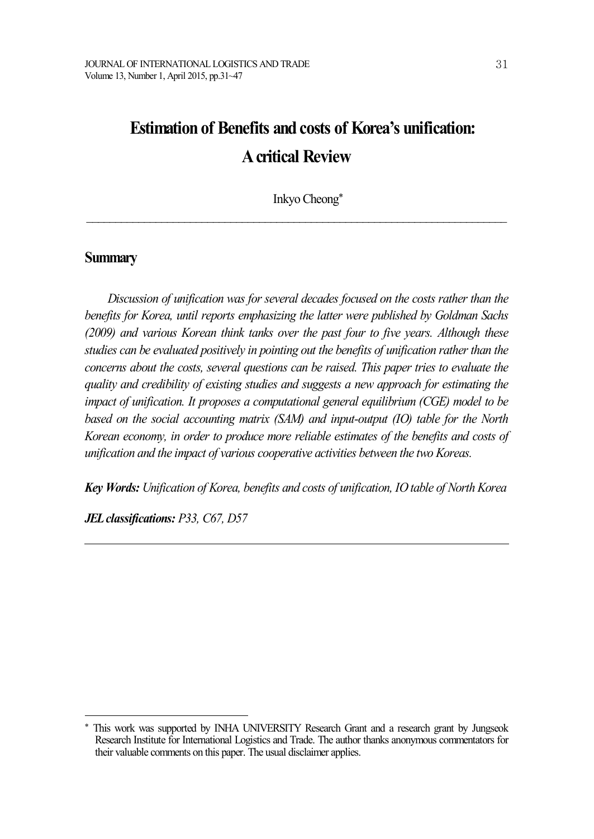# **Estimation of Benefits and costs of Korea's unification: Acritical Review**

Inkyo Cheong\*

 $\mathcal{L}_\text{max} = \mathcal{L}_\text{max} = \mathcal{L}_\text{max} = \mathcal{L}_\text{max} = \mathcal{L}_\text{max} = \mathcal{L}_\text{max} = \mathcal{L}_\text{max} = \mathcal{L}_\text{max} = \mathcal{L}_\text{max} = \mathcal{L}_\text{max} = \mathcal{L}_\text{max} = \mathcal{L}_\text{max} = \mathcal{L}_\text{max} = \mathcal{L}_\text{max} = \mathcal{L}_\text{max} = \mathcal{L}_\text{max} = \mathcal{L}_\text{max} = \mathcal{L}_\text{max} = \mathcal{$ 

# **Summary**

*Discussion of unification was for several decades focused on the costs rather than the benefits for Korea, until reports emphasizing the latter were published by Goldman Sachs (2009) and various Korean think tanks over the past four to five years. Although these studies can be evaluated positively in pointing out the benefits of unification rather than the concerns about the costs, several questions can be raised. This paper tries to evaluate the quality and credibility of existing studies and suggests a new approach for estimating the impact of unification. It proposes a computational general equilibrium (CGE) model to be based on the social accounting matrix (SAM) and input-output (IO) table for the North Korean economy, in order to produce more reliable estimates of the benefits and costs of unification and the impact of various cooperative activities between the two Koreas.*

*Key Words: Unification of Korea, benefits and costs of unification, IO table of North Korea*

*JELclassifications: P33, C67, D57*

This work was supported by INHA UNIVERSITY Research Grant and a research grant by Jungseok Research Institute for International Logistics and Trade. The author thanks anonymous commentators for their valuable comments on this paper. The usual disclaimer applies.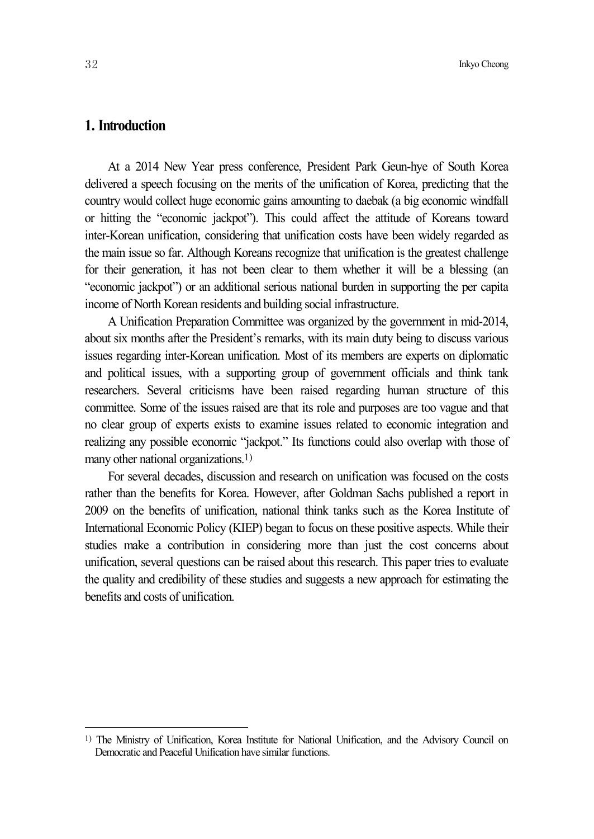# **1. Introduction**

At a 2014 New Year press conference, President Park Geun-hye of South Korea delivered a speech focusing on the merits of the unification of Korea, predicting that the country would collect huge economic gains amounting to daebak (a big economic windfall or hitting the "economic jackpot"). This could affect the attitude of Koreans toward inter-Korean unification, considering that unification costs have been widely regarded as the main issue so far. Although Koreans recognize that unification is the greatest challenge for their generation, it has not been clear to them whether it will be a blessing (an "economic jackpot") or an additional serious national burden in supporting the per capita income of North Korean residents and building social infrastructure.

A Unification Preparation Committee was organized by the government in mid-2014, about six months after the President's remarks, with its main duty being to discuss various issues regarding inter-Korean unification. Most of its members are experts on diplomatic and political issues, with a supporting group of government officials and think tank researchers. Several criticisms have been raised regarding human structure of this committee. Some of the issues raised are that its role and purposes are too vague and that no clear group of experts exists to examine issues related to economic integration and realizing any possible economic "jackpot." Its functions could also overlap with those of many other national organizations. 1)

For several decades, discussion and research on unification was focused on the costs rather than the benefits for Korea. However, after Goldman Sachs published a report in 2009 on the benefits of unification, national think tanks such as the Korea Institute of International Economic Policy (KIEP) began to focus on these positive aspects. While their studies make a contribution in considering more than just the cost concerns about unification, several questions can be raised about this research. This paper tries to evaluate the quality and credibility of these studies and suggests a new approach for estimating the benefits and costs of unification.

<sup>1)</sup> The Ministry of Unification, Korea Institute for National Unification, and the Advisory Council on Democratic and Peaceful Unification have similar functions.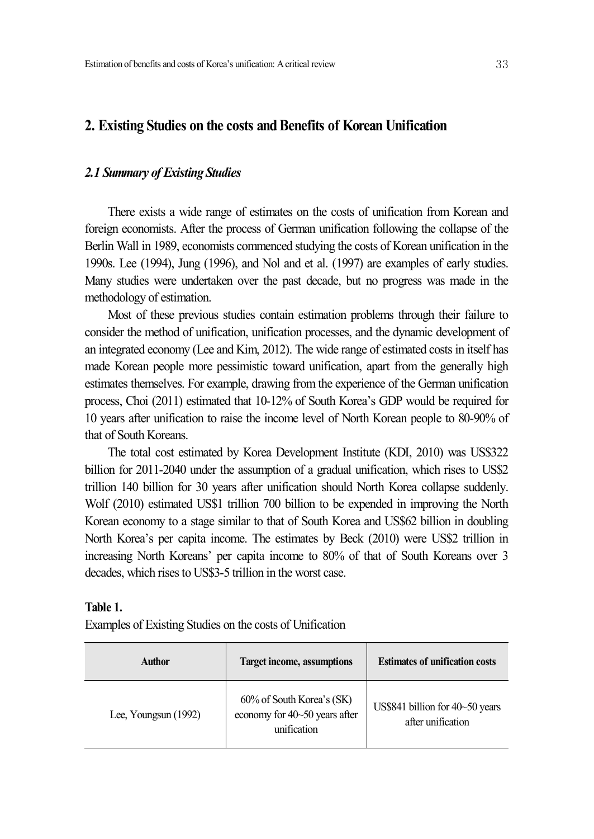## **2. Existing Studies on the costs andBenefits of Korean Unification**

## *2.1 Summary of Existing Studies*

There exists a wide range of estimates on the costs of unification from Korean and foreign economists. After the process of German unification following the collapse of the Berlin Wall in 1989, economists commenced studying the costs of Korean unification in the 1990s. Lee (1994), Jung (1996), and Nol and et al. (1997) are examples of early studies. Many studies were undertaken over the past decade, but no progress was made in the methodology of estimation.

Most of these previous studies contain estimation problems through their failure to consider the method of unification, unification processes, and the dynamic development of an integrated economy (Lee and Kim, 2012). The wide range of estimated costs in itself has made Korean people more pessimistic toward unification, apart from the generally high estimates themselves. For example, drawing from the experience of the German unification process, Choi (2011) estimated that 10-12% of South Korea's GDP would be required for 10 years after unification to raise the income level of North Korean people to 80-90% of that of South Koreans.

The total cost estimated by Korea Development Institute (KDI, 2010) was US\$322 billion for 2011-2040 under the assumption of a gradual unification, which rises to US\$2 trillion 140 billion for 30 years after unification should North Korea collapse suddenly. Wolf (2010) estimated US\$1 trillion 700 billion to be expended in improving the North Korean economy to a stage similar to that of South Korea and US\$62 billion in doubling North Korea's per capita income. The estimates by Beck (2010) were US\$2 trillion in increasing North Koreans' per capita income to 80% of that of South Koreans over 3 decades, which rises to US\$3-5 trillion in the worst case.

#### **Table 1.**

Examples of Existing Studies on the costs of Unification

| <b>Author</b>          | <b>Target income, assumptions</b>                                         | <b>Estimates of unification costs</b>                |
|------------------------|---------------------------------------------------------------------------|------------------------------------------------------|
| Lee, Youngsun $(1992)$ | 60% of South Korea's (SK)<br>economy for 40~50 years after<br>unification | US\$841 billion for 40~50 years<br>after unification |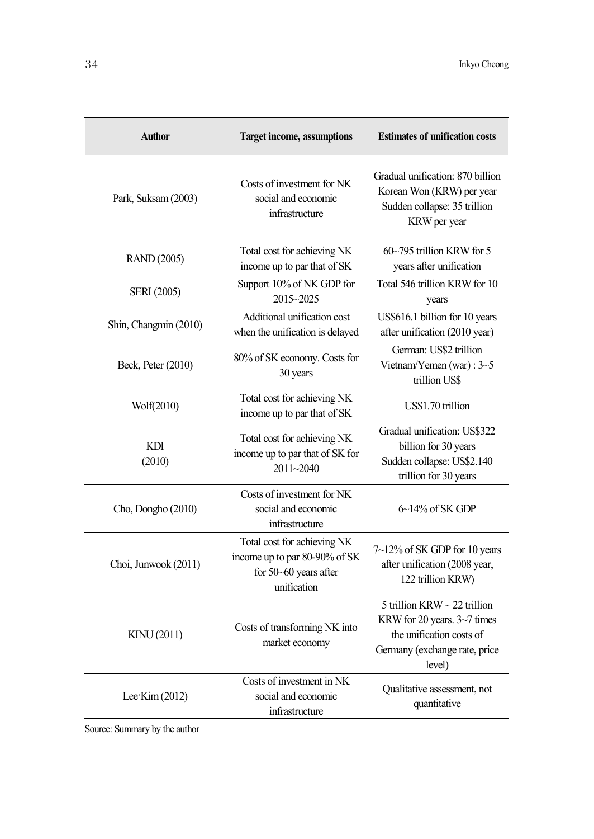| <b>Author</b>         | <b>Target income, assumptions</b>                                                                    | <b>Estimates of unification costs</b>                                                                                                   |  |  |  |
|-----------------------|------------------------------------------------------------------------------------------------------|-----------------------------------------------------------------------------------------------------------------------------------------|--|--|--|
| Park, Suksam (2003)   | Costs of investment for NK<br>social and economic<br>infrastructure                                  | Gradual unification: 870 billion<br>Korean Won (KRW) per year<br>Sudden collapse: 35 trillion<br>KRW per year                           |  |  |  |
| <b>RAND</b> (2005)    | Total cost for achieving NK<br>income up to par that of SK                                           | $60-795$ trillion KRW for 5<br>years after unification                                                                                  |  |  |  |
| <b>SERI</b> (2005)    | Support 10% of NK GDP for<br>2015~2025                                                               | Total 546 trillion KRW for 10<br>years                                                                                                  |  |  |  |
| Shin, Changmin (2010) | Additional unification cost<br>when the unification is delayed                                       | US\$616.1 billion for 10 years<br>after unification (2010 year)                                                                         |  |  |  |
| Beck, Peter (2010)    | 80% of SK economy. Costs for<br>30 years                                                             | German: US\$2 trillion<br>Vietnam/Yemen (war) : 3~5<br>trillion US\$                                                                    |  |  |  |
| Wolf(2010)            | Total cost for achieving NK<br>income up to par that of SK                                           | US\$1.70 trillion                                                                                                                       |  |  |  |
| <b>KDI</b><br>(2010)  | Total cost for achieving NK<br>income up to par that of SK for<br>2011~2040                          | Gradual unification: US\$322<br>billion for 30 years<br>Sudden collapse: US\$2.140<br>trillion for 30 years                             |  |  |  |
| Cho, Dongho (2010)    | Costs of investment for NK<br>social and economic<br>infrastructure                                  | $6\text{--}14\%$ of SK GDP                                                                                                              |  |  |  |
| Choi, Junwook (2011)  | Total cost for achieving NK<br>income up to par 80-90% of SK<br>for 50~60 years after<br>unification | 7~12% of SK GDP for 10 years<br>after unification (2008 year,<br>122 trillion KRW)                                                      |  |  |  |
| KINU (2011)           | Costs of transforming NK into<br>market economy                                                      | 5 trillion KRW $\sim$ 22 trillion<br>KRW for 20 years. 3~7 times<br>the unification costs of<br>Germany (exchange rate, price<br>level) |  |  |  |
| Lee Kim $(2012)$      | Costs of investment in NK<br>social and economic<br>infrastructure                                   | Qualitative assessment, not<br>quantitative                                                                                             |  |  |  |

Source: Summary by the author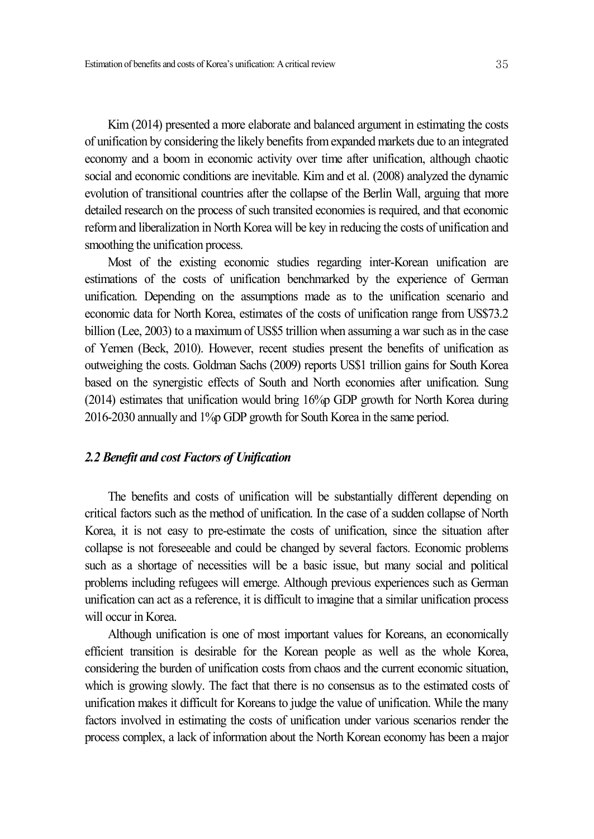Kim (2014) presented a more elaborate and balanced argument in estimating the costs of unification by considering the likely benefits from expanded markets due to an integrated economy and a boom in economic activity over time after unification, although chaotic social and economic conditions are inevitable. Kim and et al. (2008) analyzed the dynamic evolution of transitional countries after the collapse of the Berlin Wall, arguing that more detailed research on the process of such transited economies is required, and that economic reformand liberalization in North Korea will be key in reducing the costs of unification and smoothing the unification process.

Most of the existing economic studies regarding inter-Korean unification are estimations of the costs of unification benchmarked by the experience of German unification. Depending on the assumptions made as to the unification scenario and economic data for North Korea, estimates of the costs of unification range from US\$73.2 billion (Lee, 2003) to a maximum of US\$5 trillion when assuming a war such as in the case of Yemen (Beck, 2010). However, recent studies present the benefits of unification as outweighing the costs. Goldman Sachs (2009) reports US\$1 trillion gains for South Korea based on the synergistic effects of South and North economies after unification. Sung (2014) estimates that unification would bring 16%p GDP growth for North Korea during 2016-2030 annually and 1%p GDP growth for South Korea in the same period.

#### *2.2 Benefit and cost Factors of Unification*

The benefits and costs of unification will be substantially different depending on critical factors such as the method of unification. In the case of a sudden collapse of North Korea, it is not easy to pre-estimate the costs of unification, since the situation after collapse is not foreseeable and could be changed by several factors. Economic problems such as a shortage of necessities will be a basic issue, but many social and political problems including refugees will emerge. Although previous experiences such as German unification can act as a reference, it is difficult to imagine that a similar unification process will occur in Korea.

Although unification is one of most important values for Koreans, an economically efficient transition is desirable for the Korean people as well as the whole Korea, considering the burden of unification costs from chaos and the current economic situation, which is growing slowly. The fact that there is no consensus as to the estimated costs of unification makes it difficult for Koreans to judge the value of unification. While the many factors involved in estimating the costs of unification under various scenarios render the process complex, a lack of information about the North Korean economy has been a major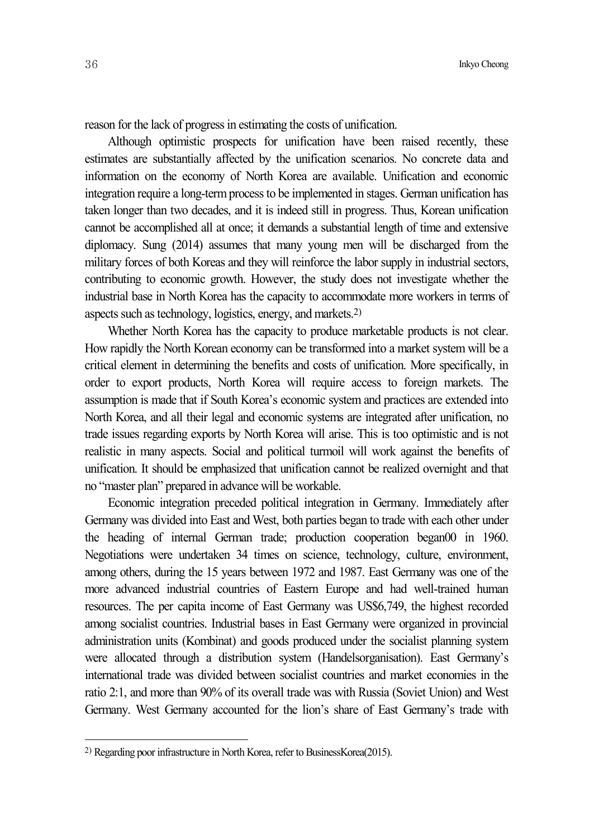reason for the lack of progress in estimating the costs of unification.

Although optimistic prospects for unification have been raised recently, these estimates are substantially affected by the unification scenarios. No concrete data and information on the economy of North Korea are available. Unification and economic integration require a long-term process to be implemented in stages. German unification has taken longer than two decades, and it is indeed still in progress. Thus, Korean unification cannot be accomplished all at once; it demands a substantial length of time and extensive diplomacy. Sung (2014) assumes that many young men will be discharged from the military forces of both Koreas and they will reinforce the labor supply in industrial sectors, contributing to economic growth. However, the study does not investigate whether the industrial base in North Korea has the capacity to accommodate more workers in terms of aspects such as technology, logistics, energy, and markets.<sup>2)</sup>

Whether North Korea has the capacity to produce marketable products is not clear. How rapidly the North Korean economy can be transformed into a market system will be a critical element in determining the benefits and costs of unification. More specifically, in order to export products, North Korea will require access to foreign markets. The assumption is made that if South Korea's economic system and practices are extended into North Korea, and all their legal and economic systems are integrated after unification, no trade issues regarding exports by North Korea will arise. This is too optimistic and is not realistic in many aspects. Social and political turmoil will work against the benefits of unification. It should be emphasized that unification cannot be realized overnight and that no "master plan" prepared in advance will be workable.

Economic integration preceded political integration in Germany. Immediately after Germany was divided into East and West, both parties began to trade with each other under the heading of internal German trade; production cooperation began00 in 1960. Negotiations were undertaken 34 times on science, technology, culture, environment, among others, during the 15 years between 1972 and 1987. East Germany was one of the more advanced industrial countries of Eastern Europe and had well-trained human resources. The per capita income of East Germany was US\$6,749, the highest recorded among socialist countries. Industrial bases in East Germany were organized in provincial administration units (Kombinat) and goods produced under the socialist planning system were allocated through a distribution system (Handelsorganisation). East Germany's international trade was divided between socialist countries and market economies in the ratio 2:1, and more than 90% of its overall trade was with Russia (Soviet Union) and West Germany. West Germany accounted for the lion's share of East Germany's trade with

<sup>&</sup>lt;sup>2)</sup> Regarding poor infrastructure in North Korea, refer to BusinessKorea(2015).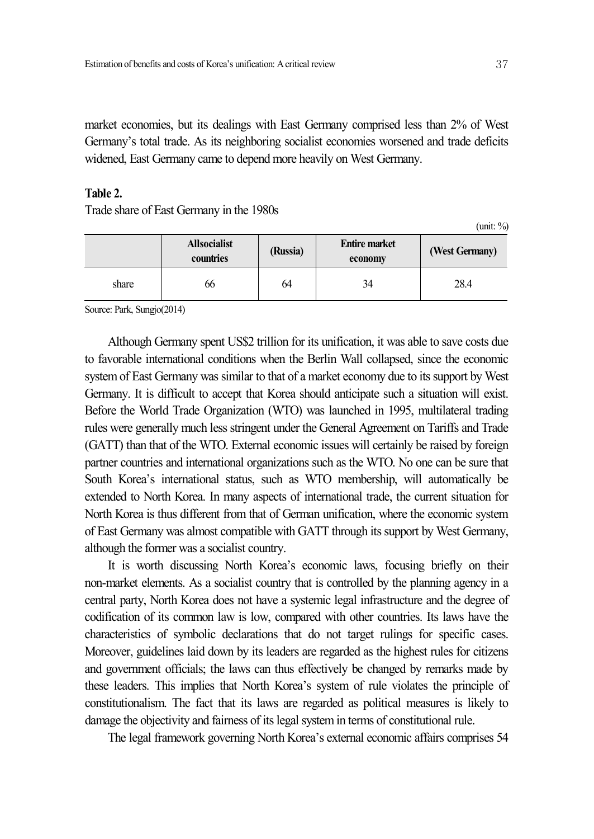market economies, but its dealings with East Germany comprised less than 2% of West Germany's total trade. As its neighboring socialist economies worsened and trade deficits widened, East Germany came to depend more heavily on West Germany.

# **Table 2.**

Trade share of East Germany in the 1980s

(unit: %)

|       | <b>Allsocialist</b><br>countries | (Russia) | <b>Entire market</b><br>economy | (West Germany) |  |
|-------|----------------------------------|----------|---------------------------------|----------------|--|
| share | 66                               | 64       | 34                              | 28.4           |  |

Source: Park, Sungjo(2014)

Although Germany spent US\$2 trillion for its unification, it was able to save costs due to favorable international conditions when the Berlin Wall collapsed, since the economic system of East Germany was similar to that of a market economy due to its support by West Germany. It is difficult to accept that Korea should anticipate such a situation will exist. Before the World Trade Organization (WTO) was launched in 1995, multilateral trading rules were generally much less stringent under the General Agreement on Tariffs and Trade (GATT) than that of the WTO. External economic issues will certainly be raised by foreign partner countries and international organizations such as the WTO. No one can be sure that South Korea's international status, such as WTO membership, will automatically be extended to North Korea. In many aspects of international trade, the current situation for North Korea is thus different from that of German unification, where the economic system of East Germany was almost compatible with GATT through itssupport by West Germany, although the former was a socialist country.

It is worth discussing North Korea's economic laws, focusing briefly on their non-market elements. As a socialist country that is controlled by the planning agency in a central party, North Korea does not have a systemic legal infrastructure and the degree of codification of its common law is low, compared with other countries. Its laws have the characteristics of symbolic declarations that do not target rulings for specific cases. Moreover, guidelines laid down by its leaders are regarded as the highest rules for citizens and government officials; the laws can thus effectively be changed by remarks made by these leaders. This implies that North Korea's system of rule violates the principle of constitutionalism. The fact that its laws are regarded as political measures is likely to damage the objectivity and fairness of its legal system in terms of constitutional rule.

The legal framework governing North Korea's external economic affairs comprises 54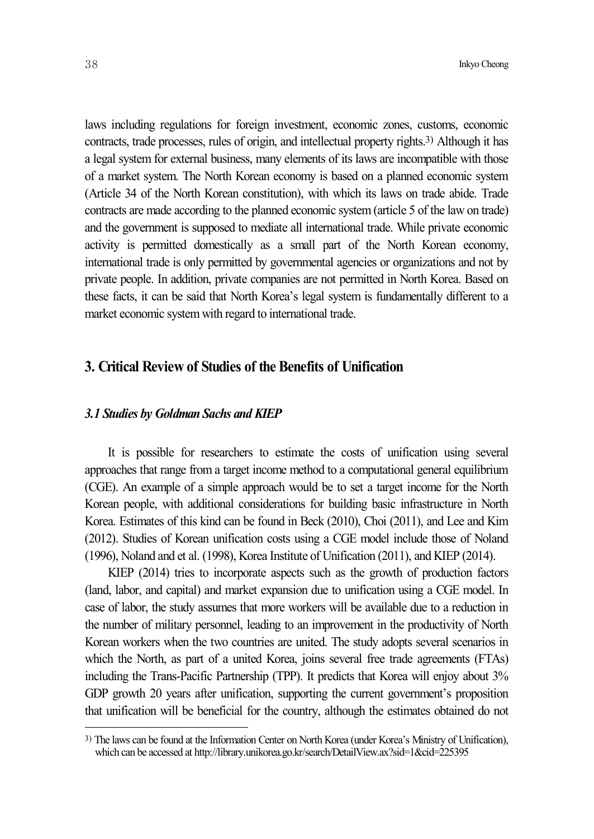laws including regulations for foreign investment, economic zones, customs, economic contracts, trade processes, rules of origin, and intellectual property rights. 3) Although it has a legal system for external business, many elements of its laws are incompatible with those of a market system. The North Korean economy is based on a planned economic system (Article 34 of the North Korean constitution), with which its laws on trade abide. Trade contracts are made according to the planned economic system(article 5 of the law on trade) and the government is supposed to mediate all international trade. While private economic activity is permitted domestically as a small part of the North Korean economy, international trade is only permitted by governmental agencies or organizations and not by private people. In addition, private companies are not permitted in North Korea. Based on these facts, it can be said that North Korea's legal system is fundamentally different to a market economic systemwith regard to international trade.

# **3. Critical Review of Studies of the Benefits of Unification**

#### *3.1 Studies by Goldman Sachs and KIEP*

It is possible for researchers to estimate the costs of unification using several approaches that range from a target income method to a computational general equilibrium (CGE). An example of a simple approach would be to set a target income for the North Korean people, with additional considerations for building basic infrastructure in North Korea. Estimates of this kind can be found in Beck (2010), Choi (2011), and Lee and Kim (2012). Studies of Korean unification costs using a CGE model include those of Noland (1996), Noland and et al. (1998), Korea Institute of Unification (2011), and KIEP (2014).

KIEP (2014) tries to incorporate aspects such as the growth of production factors (land, labor, and capital) and market expansion due to unification using a CGE model. In case of labor, the study assumes that more workers will be available due to a reduction in the number of military personnel, leading to an improvement in the productivity of North Korean workers when the two countries are united. The study adopts several scenarios in which the North, as part of a united Korea, joins several free trade agreements (FTAs) including the Trans-Pacific Partnership (TPP). It predicts that Korea will enjoy about 3% GDP growth 20 years after unification, supporting the current government's proposition that unification will be beneficial for the country, although the estimates obtained do not

<sup>3)</sup> The laws can be found at the Information Center on North Korea (under Korea's Ministry of Unification), which can be accessed at http://library.unikorea.go.kr/search/DetailView.ax?sid=1&cid=225395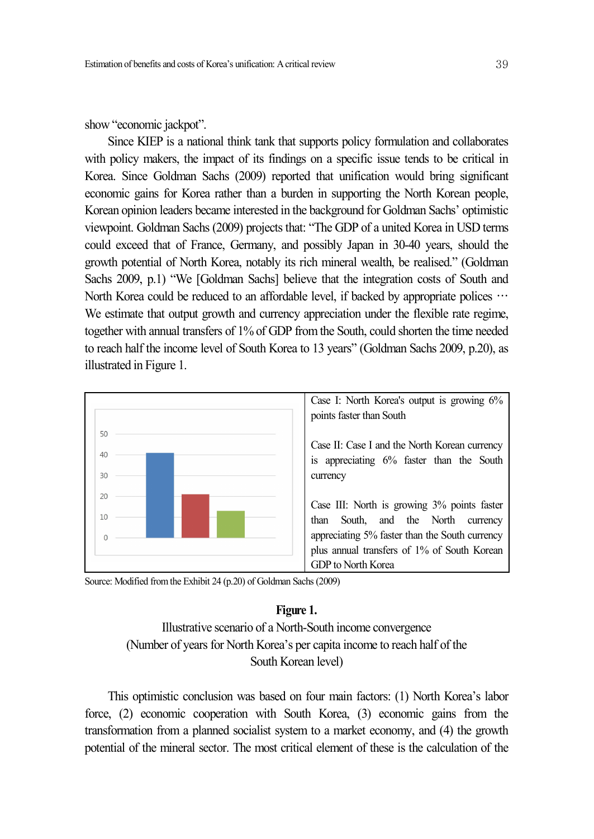show "economic jackpot".

Since KIEP is a national think tank that supports policy formulation and collaborates with policy makers, the impact of its findings on a specific issue tends to be critical in Korea. Since Goldman Sachs (2009) reported that unification would bring significant economic gains for Korea rather than a burden in supporting the North Korean people, Korean opinion leaders became interested in the background for Goldman Sachs' optimistic viewpoint. Goldman Sachs (2009) projects that: "The GDP of a united Korea in USD terms could exceed that of France, Germany, and possibly Japan in 30-40 years, should the growth potential of North Korea, notably its rich mineral wealth, be realised." (Goldman Sachs 2009, p.1) "We [Goldman Sachs] believe that the integration costs of South and North Korea could be reduced to an affordable level, if backed by appropriate polices  $\cdots$ We estimate that output growth and currency appreciation under the flexible rate regime, together with annual transfers of 1% of GDP fromthe South, could shorten the time needed to reach half the income level of South Korea to 13 years" (Goldman Sachs 2009, p.20), as illustrated in Figure 1.



Source: Modified from the Exhibit 24 (p.20) of Goldman Sachs (2009)

#### **Figure 1.**

Illustrative scenario of a North-South income convergence (Number of years for North Korea's per capita income to reach half of the South Korean level)

This optimistic conclusion was based on four main factors: (1) North Korea's labor force, (2) economic cooperation with South Korea, (3) economic gains from the transformation from a planned socialist system to a market economy, and (4) the growth potential of the mineral sector. The most critical element of these is the calculation of the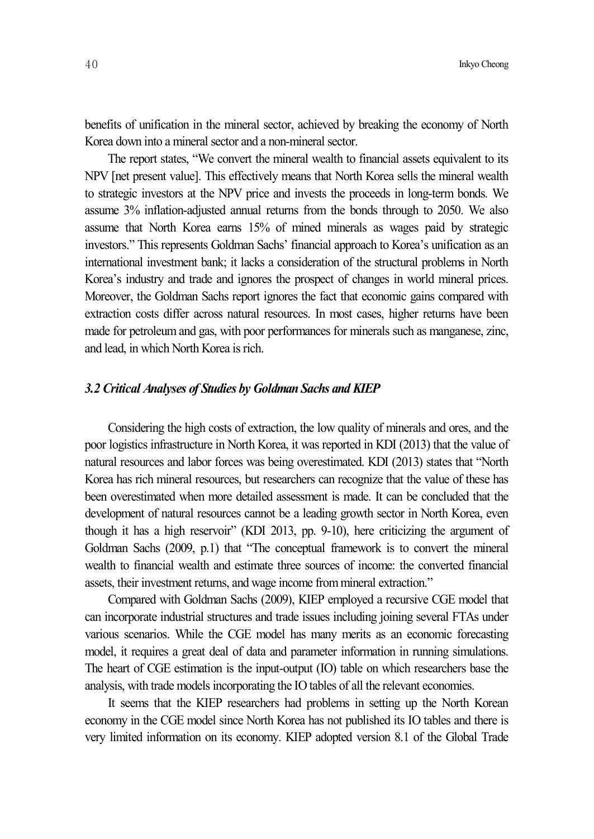benefits of unification in the mineral sector, achieved by breaking the economy of North Korea down into a mineral sector and a non-mineral sector.

The report states, "We convert the mineral wealth to financial assets equivalent to its NPV [net present value]. This effectively means that North Korea sells the mineral wealth to strategic investors at the NPV price and invests the proceeds in long-term bonds. We assume 3% inflation-adjusted annual returns from the bonds through to 2050. We also assume that North Korea earns 15% of mined minerals as wages paid by strategic investors." This represents Goldman Sachs' financial approach to Korea's unification as an international investment bank; it lacks a consideration of the structural problems in North Korea's industry and trade and ignores the prospect of changes in world mineral prices. Moreover, the Goldman Sachs report ignores the fact that economic gains compared with extraction costs differ across natural resources. In most cases, higher returns have been made for petroleum and gas, with poor performances for minerals such as manganese, zinc, and lead, in which North Korea is rich.

#### *3.2 Critical Analyses of Studies by Goldman Sachs and KIEP*

Considering the high costs of extraction, the low quality of minerals and ores, and the poor logistics infrastructure in North Korea, it was reported in KDI (2013) that the value of natural resources and labor forces was being overestimated. KDI (2013) states that "North Korea has rich mineral resources, but researchers can recognize that the value of these has been overestimated when more detailed assessment is made. It can be concluded that the development of natural resources cannot be a leading growth sector in North Korea, even though it has a high reservoir" (KDI 2013, pp. 9-10), here criticizing the argument of Goldman Sachs (2009, p.1) that "The conceptual framework is to convert the mineral wealth to financial wealth and estimate three sources of income: the converted financial assets, their investment returns, and wage income frommineral extraction."

Compared with Goldman Sachs (2009), KIEP employed a recursive CGE model that can incorporate industrial structures and trade issues including joining several FTAs under various scenarios. While the CGE model has many merits as an economic forecasting model, it requires a great deal of data and parameter information in running simulations. The heart of CGE estimation is the input-output (IO) table on which researchers base the analysis, with trade models incorporating the IO tables of all the relevant economies.

It seems that the KIEP researchers had problems in setting up the North Korean economy in the CGE model since North Korea has not published its IO tables and there is very limited information on its economy. KIEP adopted version 8.1 of the Global Trade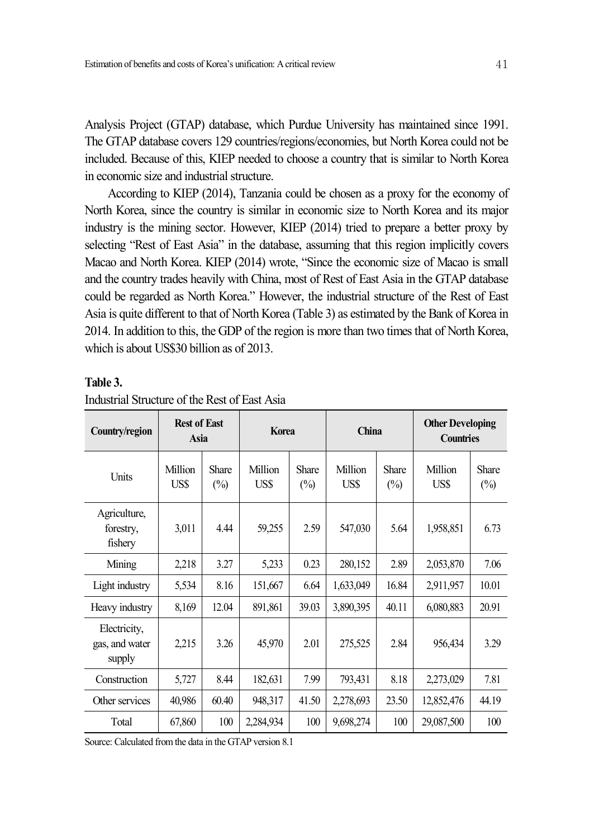Analysis Project (GTAP) database, which Purdue University has maintained since 1991. The GTAP database covers 129 countries/regions/economies, but North Korea could not be included. Because of this, KIEP needed to choose a country that is similar to North Korea in economic size and industrial structure.

According to KIEP (2014), Tanzania could be chosen as a proxy for the economy of North Korea, since the country is similar in economic size to North Korea and its major industry is the mining sector. However, KIEP (2014) tried to prepare a better proxy by selecting "Rest of East Asia" in the database, assuming that this region implicitly covers Macao and North Korea. KIEP (2014) wrote, "Since the economic size of Macao is small and the country trades heavily with China, most of Rest of East Asia in the GTAP database could be regarded as North Korea." However, the industrial structure of the Rest of East Asia is quite different to that of North Korea (Table 3) as estimated by the Bank of Korea in 2014. In addition to this, the GDP of the region is more than two times that of North Korea, which is about US\$30 billion as of 2013.

#### **Table 3.**

| Country/region                           | <b>Rest of East</b><br>Asia |                        | <b>Korea</b>    |                        | China           |                                | <b>Other Developing</b><br><b>Countries</b> |                        |
|------------------------------------------|-----------------------------|------------------------|-----------------|------------------------|-----------------|--------------------------------|---------------------------------------------|------------------------|
| Units                                    | Million<br>US\$             | <b>Share</b><br>$(\%)$ | Million<br>US\$ | <b>Share</b><br>$(\%)$ | Million<br>US\$ | <b>Share</b><br>$\binom{0}{0}$ | Million<br>US\$                             | <b>Share</b><br>$(\%)$ |
| Agriculture,<br>forestry,<br>fishery     | 3,011                       | 4.44                   | 59,255          | 2.59                   | 547,030         | 5.64                           | 1,958,851                                   | 6.73                   |
| Mining                                   | 2,218                       | 3.27                   | 5,233           | 0.23                   | 280,152         | 2.89                           | 2,053,870                                   | 7.06                   |
| Light industry                           | 5,534                       | 8.16                   | 151,667         | 6.64                   | 1,633,049       | 16.84                          | 2,911,957                                   | 10.01                  |
| Heavy industry                           | 8,169                       | 12.04                  | 891,861         | 39.03                  | 3,890,395       | 40.11                          | 6,080,883                                   | 20.91                  |
| Electricity,<br>gas, and water<br>supply | 2,215                       | 3.26                   | 45,970          | 2.01                   | 275,525         | 2.84                           | 956,434                                     | 3.29                   |
| Construction                             | 5,727                       | 8.44                   | 182,631         | 7.99                   | 793,431         | 8.18                           | 2,273,029                                   | 7.81                   |
| Other services                           | 40,986                      | 60.40                  | 948,317         | 41.50                  | 2,278,693       | 23.50                          | 12,852,476                                  | 44.19                  |
| Total                                    | 67,860                      | 100                    | 2,284,934       | 100                    | 9,698,274       | 100                            | 29,087,500                                  | 100                    |

#### Industrial Structure of the Rest of East Asia

Source: Calculated from the data in the GTAP version 8.1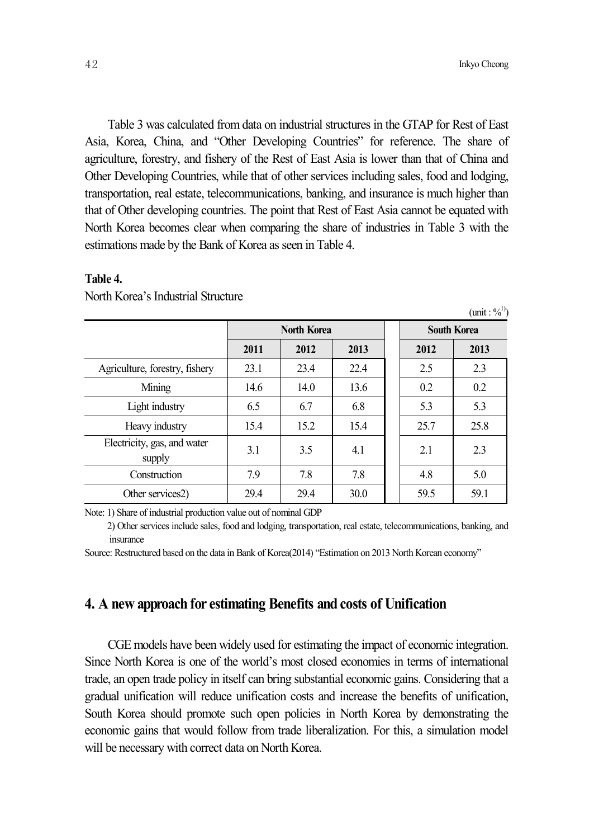$(\text{unit}: \%^{1})$ 

Table 3 was calculated from data on industrial structures in the GTAP for Rest of East Asia, Korea, China, and "Other Developing Countries" for reference. The share of agriculture, forestry, and fishery of the Rest of East Asia is lower than that of China and Other Developing Countries, while that of other services including sales, food and lodging, transportation, real estate, telecommunications, banking, and insurance is much higher than that of Other developing countries. The point that Rest of East Asia cannot be equated with North Korea becomes clear when comparing the share of industries in Table 3 with the estimations made by the Bank of Korea as seen in Table 4.

# **Table 4.**

|                                       | <b>North Korea</b> |      |      | <b>South Korea</b> |      |
|---------------------------------------|--------------------|------|------|--------------------|------|
|                                       | 2011               | 2012 | 2013 | 2012               | 2013 |
| Agriculture, forestry, fishery        | 23.1               | 23.4 | 22.4 | 2.5                | 2.3  |
| Mining                                | 14.6               | 14.0 | 13.6 | 0.2                | 0.2  |
| Light industry                        | 6.5                | 6.7  | 6.8  | 5.3                | 5.3  |
| Heavy industry                        | 15.4               | 15.2 | 15.4 | 25.7               | 25.8 |
| Electricity, gas, and water<br>supply | 3.1                | 3.5  | 4.1  | 2.1                | 2.3  |
| Construction                          | 7.9                | 7.8  | 7.8  | 4.8                | 5.0  |
| Other services2)                      | 29.4               | 29.4 | 30.0 | 59.5               | 59.1 |

North Korea's Industrial Structure

Note: 1) Share of industrial production value out of nominal GDP

2) Other services include sales, food and lodging, transportation, real estate, telecommunications, banking, and insurance

Source: Restructured based on the data in Bank of Korea(2014) "Estimation on 2013 North Korean economy"

# **4. A new approach for estimating Benefits and costs of Unification**

CGE models have been widely used for estimating the impact of economic integration. Since North Korea is one of the world's most closed economies in terms of international trade, an open trade policy in itself can bring substantial economic gains. Considering that a gradual unification will reduce unification costs and increase the benefits of unification, South Korea should promote such open policies in North Korea by demonstrating the economic gains that would follow from trade liberalization. For this, a simulation model will be necessary with correct data on North Korea.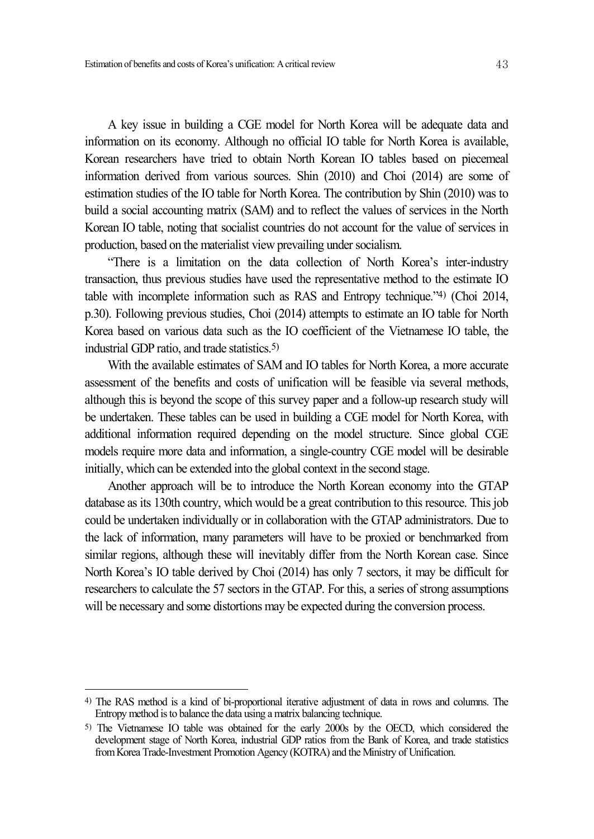A key issue in building a CGE model for North Korea will be adequate data and information on its economy. Although no official IO table for North Korea is available, Korean researchers have tried to obtain North Korean IO tables based on piecemeal information derived from various sources. Shin (2010) and Choi (2014) are some of estimation studies of the IO table for North Korea. The contribution by Shin (2010) was to build a social accounting matrix (SAM) and to reflect the values of services in the North Korean IO table, noting that socialist countries do not account for the value of services in production, based on the materialist view prevailing under socialism.

"There is a limitation on the data collection of North Korea's inter-industry transaction, thus previous studies have used the representative method to the estimate IO table with incomplete information such as RAS and Entropy technique."4) (Choi 2014, p.30). Following previous studies, Choi (2014) attempts to estimate an IO table for North Korea based on various data such as the IO coefficient of the Vietnamese IO table, the industrial GDP ratio, and trade statistics. 5)

With the available estimates of SAM and IO tables for North Korea, a more accurate assessment of the benefits and costs of unification will be feasible via several methods, although this is beyond the scope of this survey paper and a follow-up research study will be undertaken. These tables can be used in building a CGE model for North Korea, with additional information required depending on the model structure. Since global CGE models require more data and information, a single-country CGE model will be desirable initially, which can be extended into the global context in the second stage.

Another approach will be to introduce the North Korean economy into the GTAP database as its 130th country, which would be a great contribution to this resource. This job could be undertaken individually or in collaboration with the GTAP administrators. Due to the lack of information, many parameters will have to be proxied or benchmarked from similar regions, although these will inevitably differ from the North Korean case. Since North Korea's IO table derived by Choi (2014) has only 7 sectors, it may be difficult for researchers to calculate the 57 sectors in the GTAP. For this, a series of strong assumptions will be necessary and some distortions may be expected during the conversion process.

<sup>4)</sup> The RAS method is a kind of bi-proportional iterative adjustment of data in rows and columns. The Entropy method is to balance the data using a matrix balancing technique.

<sup>5)</sup> The Vietnamese IO table was obtained for the early 2000s by the OECD, which considered the development stage of North Korea, industrial GDP ratios from the Bank of Korea, and trade statistics fromKorea Trade-Investment Promotion Agency (KOTRA) and the Ministry of Unification.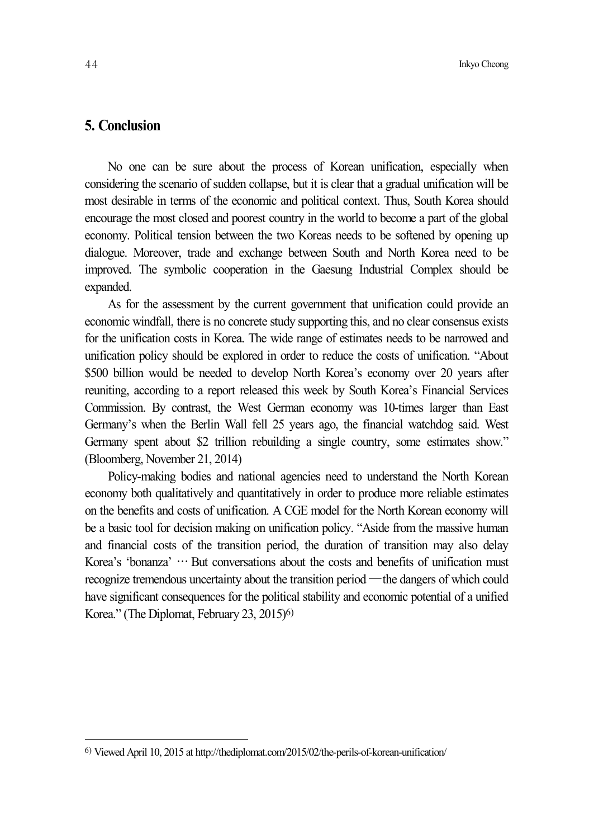# **5. Conclusion**

No one can be sure about the process of Korean unification, especially when considering the scenario of sudden collapse, but it is clear that a gradual unification will be most desirable in terms of the economic and political context. Thus, South Korea should encourage the most closed and poorest country in the world to become a part of the global economy. Political tension between the two Koreas needs to be softened by opening up dialogue. Moreover, trade and exchange between South and North Korea need to be improved. The symbolic cooperation in the Gaesung Industrial Complex should be expanded.

As for the assessment by the current government that unification could provide an economic windfall, there is no concrete study supporting this, and no clear consensus exists for the unification costs in Korea. The wide range of estimates needs to be narrowed and unification policy should be explored in order to reduce the costs of unification. "About \$500 billion would be needed to develop North Korea's economy over 20 years after reuniting, according to a report released this week by South Korea's Financial Services Commission. By contrast, the West German economy was 10-times larger than East Germany's when the Berlin Wall fell 25 years ago, the financial watchdog said. West Germany spent about \$2 trillion rebuilding a single country, some estimates show." (Bloomberg, November 21, 2014)

Policy-making bodies and national agencies need to understand the North Korean economy both qualitatively and quantitatively in order to produce more reliable estimates on the benefits and costs of unification. A CGE model for the North Korean economy will be a basic tool for decision making on unification policy. "Aside from the massive human and financial costs of the transition period, the duration of transition may also delay Korea's 'bonanza' … But conversations about the costs and benefits of unification must recognize tremendous uncertainty about the transition period —the dangers of which could have significant consequences for the political stability and economic potential of a unified Korea." (The Diplomat, February 23, 2015) 6)

<sup>6)</sup> Viewed April 10, 2015 at http://thediplomat.com/2015/02/the-perils-of-korean-unification/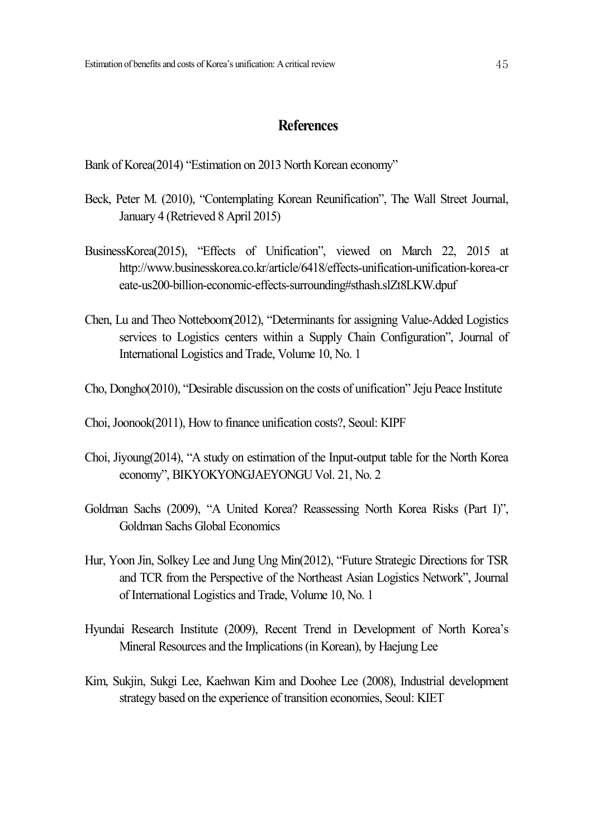# **References**

Bank of Korea(2014) "Estimation on 2013 North Korean economy"

- Beck, Peter M. (2010), "Contemplating Korean Reunification", The Wall Street Journal, January 4 (Retrieved 8 April 2015)
- BusinessKorea(2015), "Effects of Unification", viewed on March 22, 2015 at http://www.businesskorea.co.kr/article/6418/effects-unification-unification-korea-cr eate-us200-billion-economic-effects-surrounding#sthash.slZt8LKW.dpuf
- Chen, Lu and Theo Notteboom(2012), "Determinants for assigning Value-Added Logistics services to Logistics centers within a Supply Chain Configuration", Journal of International Logistics and Trade, Volume 10, No. 1
- Cho, Dongho(2010), "Desirable discussion on the costs of unification" Jeju Peace Institute
- Choi,Joonook(2011), How to finance unification costs?, Seoul: KIPF
- Choi, Jiyoung(2014), "A study on estimation of the Input-output table for the North Korea economy", BIKYOKYONGJAEYONGU Vol. 21, No. 2
- Goldman Sachs (2009), "A United Korea? Reassessing North Korea Risks (Part I)", Goldman Sachs Global Economics
- Hur, Yoon Jin, Solkey Lee and Jung Ung Min(2012), "Future Strategic Directions for TSR and TCR from the Perspective of the Northeast Asian Logistics Network", Journal of International Logistics and Trade, Volume 10, No. 1
- Hyundai Research Institute (2009), Recent Trend in Development of North Korea's Mineral Resources and the Implications(in Korean), by Haejung Lee
- Kim, Sukjin, Sukgi Lee, Kaehwan Kim and Doohee Lee (2008), Industrial development strategy based on the experience of transition economies, Seoul: KIET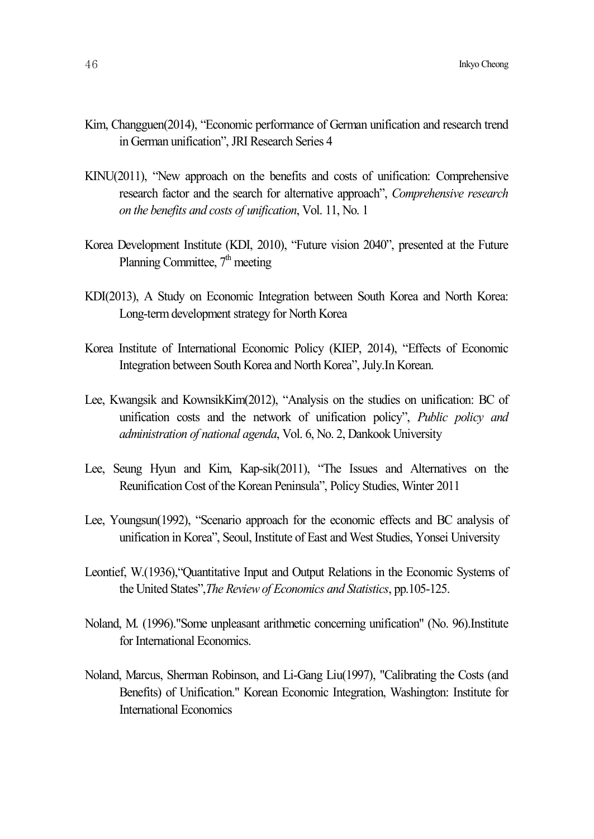- Kim, Changguen(2014), "Economic performance of German unification and research trend in German unification", JRI Research Series 4
- KINU(2011), "New approach on the benefits and costs of unification: Comprehensive research factor and the search for alternative approach", *Comprehensive research on the benefits and costs of unification*, Vol. 11, No. 1
- Korea Development Institute (KDI, 2010), "Future vision 2040", presented at the Future Planning Committee, 7<sup>th</sup> meeting
- KDI(2013), A Study on Economic Integration between South Korea and North Korea: Long-termdevelopment strategy for North Korea
- Korea Institute of International Economic Policy (KIEP, 2014), "Effects of Economic Integration between South Korea and North Korea", July.In Korean.
- Lee, Kwangsik and KownsikKim(2012), "Analysis on the studies on unification: BC of unification costs and the network of unification policy", *Public policy and administration of national agenda*, Vol. 6, No. 2, Dankook University
- Lee, Seung Hyun and Kim, Kap-sik(2011), "The Issues and Alternatives on the Reunification Cost of the Korean Peninsula", Policy Studies, Winter 2011
- Lee, Youngsun(1992), "Scenario approach for the economic effects and BC analysis of unification in Korea", Seoul, Institute of East and West Studies, Yonsei University
- Leontief, W.(1936),"Quantitative Input and Output Relations in the Economic Systems of the United States",*The Reviewof Economics and Statistics*, pp.105-125.
- Noland, M. (1996)."Some unpleasant arithmetic concerning unification" (No. 96).Institute for International Economics.
- Noland, Marcus, Sherman Robinson, and Li-Gang Liu(1997), "Calibrating the Costs (and Benefits) of Unification." Korean Economic Integration, Washington: Institute for International Economics